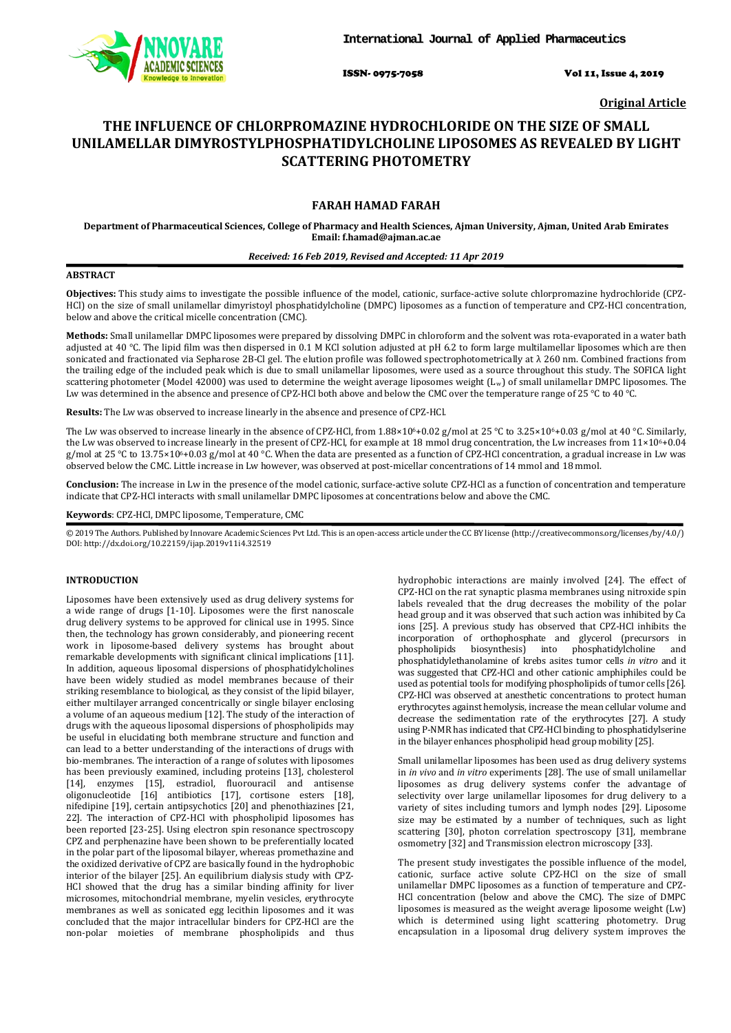

ISSN- 0975-7058 Vol 11, Issue 4, 2019

**Original Article**

# **THE INFLUENCE OF CHLORPROMAZINE HYDROCHLORIDE ON THE SIZE OF SMALL UNILAMELLAR DIMYROSTYLPHOSPHATIDYLCHOLINE LIPOSOMES AS REVEALED BY LIGHT SCATTERING PHOTOMETRY**

# **FARAH HAMAD FARAH**

**Department of Pharmaceutical Sciences, College of Pharmacy and Health Sciences, Ajman University, Ajman, United Arab Emirates Email: f.hamad@ajman.ac.ae**

# *Received: 16 Feb 2019, Revised and Accepted: 11 Apr 2019*

# **ABSTRACT**

**Objectives:** This study aims to investigate the possible influence of the model, cationic, surface-active solute chlorpromazine hydrochloride (CPZ-HCl) on the size of small unilamellar dimyristoyl phosphatidylcholine (DMPC) liposomes as a function of temperature and CPZ-HCl concentration, below and above the critical micelle concentration (CMC).

**Methods:** Small unilamellar DMPC liposomes were prepared by dissolving DMPC in chloroform and the solvent was rota-evaporated in a water bath adjusted at 40 °C. The lipid film was then dispersed in 0.1 M KCl solution adjusted at pH 6.2 to form large multilamellar liposomes which are then sonicated and fractionated via Sepharose 2B-Cl gel. The elution profile was followed spectrophotometrically at  $λ$  260 nm. Combined fractions from the trailing edge of the included peak which is due to small unilamellar liposomes, were used as a source throughout this study. The SOFICA light scattering photometer (Model 42000) was used to determine the weight average liposomes weight (Lw ) of small unilamellar DMPC liposomes. The Lw was determined in the absence and presence of CPZ-HCl both above and below the CMC over the temperature range of 25 °C to 40 °C.

**Results:** The Lw was observed to increase linearly in the absence and presence of CPZ-HCl.

The Lw was observed to increase linearly in the absence of CPZ-HCl, from 1.88×10<sup>6</sup>+0.02 g/mol at 25 °C to 3.25×10<sup>6</sup>+0.03 g/mol at 40 °C. Similarly, the Lw was observed to increase linearly in the present of CPZ-HCl, for example at 18 mmol drug concentration, the Lw increases from  $11\times10^{6}+0.04$ g/mol at 25 °C to 13.75×10°+0.03 g/mol at 40 °C. When the data are presented as a function of CPZ-HCl concentration, a gradual increase in Lw was observed below the CMC. Little increase in Lw however, was observed at post-micellar concentrations of 14 mmol and 18 mmol.

**Conclusion:** The increase in Lw in the presence of the model cationic, surface-active solute CPZ-HCl as a function of concentration and temperature indicate that CPZ-HCl interacts with small unilamellar DMPC liposomes at concentrations below and above the CMC.

### **Keywords**: CPZ-HCl, DMPC liposome, Temperature, CMC

© 2019 The Authors. Published by Innovare Academic Sciences Pvt Ltd. This is an open-access article under the CC BY license [\(http://creativecommons.org/licenses/by/4.0/\)](http://creativecommons.org/licenses/by/4.0/) DOI: http://dx.doi.org/10.22159/ijap.2019v11i4.32519

# **INTRODUCTION**

Liposomes have been extensively used as drug delivery systems for a wide range of drugs [1-10]. Liposomes were the first nanoscale drug delivery systems to be approved for clinical use in 1995. Since then, the technology has grown considerably, and pioneering recent work in liposome-based delivery systems has brought about remarkable developments with significant clinical implications [11]. In addition, aqueous liposomal dispersions of phosphatidylcholines have been widely studied as model membranes because of their striking resemblance to biological, as they consist of the lipid bilayer, either multilayer arranged concentrically or single bilayer enclosing a volume of an aqueous medium [12]. The study of the interaction of drugs with the aqueous liposomal dispersions of phospholipids may be useful in elucidating both membrane structure and function and can lead to a better understanding of the interactions of drugs with bio-membranes. The interaction of a range of solutes with liposomes has been previously examined, including proteins [13], cholesterol [14], enzymes [15], estradiol, fluorouracil and antisense oligonucleotide [16] antibiotics [17], cortisone esters [18], nifedipine [19], certain antipsychotics [20] and phenothiazines [21, 22]. The interaction of CPZ-HCl with phospholipid liposomes has been reported [23-25]. Using electron spin resonance spectroscopy CPZ and perphenazine have been shown to be preferentially located in the polar part of the liposomal bilayer, whereas promethazine and the oxidized derivative of CPZ are basically found in the hydrophobic interior of the bilayer [25]. An equilibrium dialysis study with CPZ-HCl showed that the drug has a similar binding affinity for liver microsomes, mitochondrial membrane, myelin vesicles, erythrocyte membranes as well as sonicated egg lecithin liposomes and it was concluded that the major intracellular binders for CPZ-HCl are the non-polar moieties of membrane phospholipids and thus

hydrophobic interactions are mainly involved [24]. The effect of CPZ-HCl on the rat synaptic plasma membranes using nitroxide spin labels revealed that the drug decreases the mobility of the polar head group and it was observed that such action was inhibited by Ca ions [25]. A previous study has observed that CPZ-HCl inhibits the incorporation of orthophosphate and glycerol (precursors in phospholipids biosynthesis) into phosphatidylcholine and phosphatidylethanolamine of krebs asites tumor cells *in vitro* and it was suggested that CPZ-HCl and other cationic amphiphiles could be used as potential tools for modifying phospholipids of tumor cells [26]. CPZ-HCl was observed at anesthetic concentrations to protect human erythrocytes against hemolysis, increase the mean cellular volume and decrease the sedimentation rate of the erythrocytes [27]. A study using P-NMR has indicated that CPZ-HCl binding to phosphatidylserine in the bilayer enhances phospholipid head group mobility [25].

Small unilamellar liposomes has been used as drug delivery systems in *in vivo* and *in vitro* experiments [28]. The use of small unilamellar liposomes as drug delivery systems confer the advantage of selectivity over large unilamellar liposomes for drug delivery to a variety of sites including tumors and lymph nodes [29]. Liposome size may be estimated by a number of techniques, such as light scattering [30], photon correlation spectroscopy [31], membrane osmometry [32] and Transmission electron microscopy [33].

The present study investigates the possible influence of the model, cationic, surface active solute CPZ-HCl on the size of small unilamellar DMPC liposomes as a function of temperature and CPZ-HCl concentration (below and above the CMC). The size of DMPC liposomes is measured as the weight average liposome weight (Lw) which is determined using light scattering photometry. Drug encapsulation in a liposomal drug delivery system improves the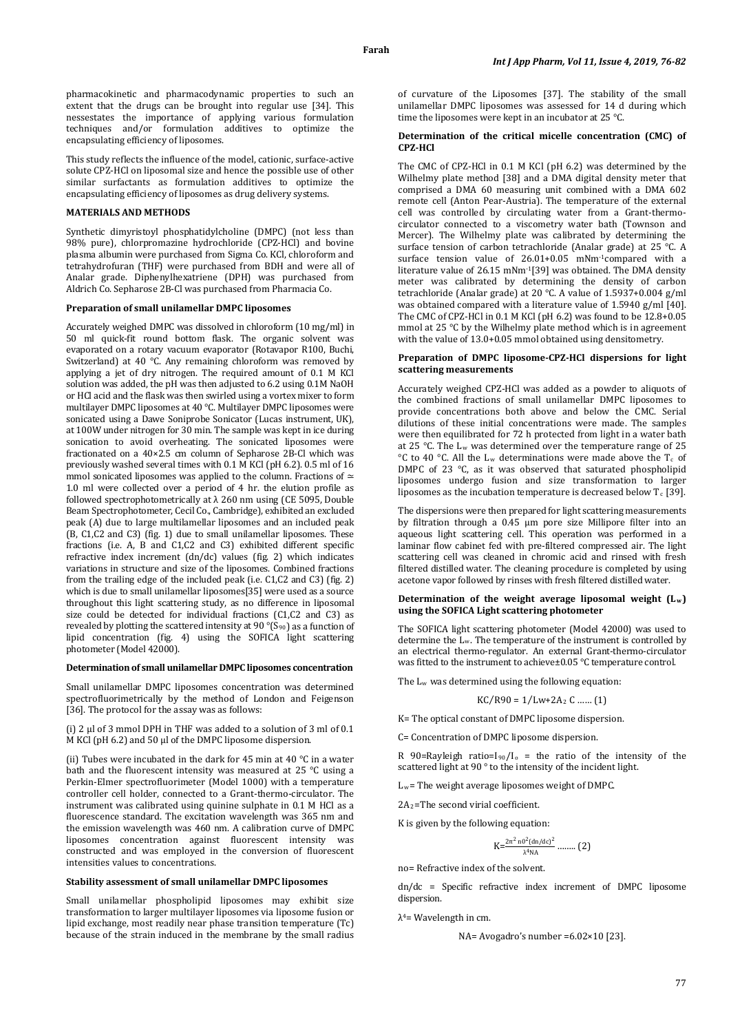pharmacokinetic and pharmacodynamic properties to such an extent that the drugs can be brought into regular use [34]. This nessestates the importance of applying various formulation techniques and/or formulation additives to optimize the encapsulating efficiency of liposomes.

This study reflects the influence of the model, cationic, surface-active solute CPZ-HCl on liposomal size and hence the possible use of other similar surfactants as formulation additives to optimize the encapsulating efficiency of liposomes as drug delivery systems.

### **MATERIALS AND METHODS**

Synthetic dimyristoyl phosphatidylcholine (DMPC) (not less than 98% pure), chlorpromazine hydrochloride (CPZ-HCl) and bovine plasma albumin were purchased from Sigma Co. KCl, chloroform and tetrahydrofuran (THF) were purchased from BDH and were all of Analar grade. Diphenylhexatriene (DPH) was purchased from Aldrich Co. Sepharose 2B-Cl was purchased from Pharmacia Co.

## **Preparation of small unilamellar DMPC liposomes**

Accurately weighed DMPC was dissolved in chloroform (10 mg/ml) in 50 ml quick-fit round bottom flask. The organic solvent was evaporated on a rotary vacuum evaporator (Rotavapor R100, Buchi, Switzerland) at 40 °C. Any remaining chloroform was removed by applying a jet of dry nitrogen. The required amount of 0.1 M KCl solution was added, the pH was then adjusted to 6.2 using 0.1M NaOH or HCl acid and the flask was then swirled using a vortex mixer to form multilayer DMPC liposomes at 40 °C. Multilayer DMPC liposomes were sonicated using a Dawe Soniprobe Sonicator (Lucas instrument, UK), at 100W under nitrogen for 30 min. The sample was kept in ice during sonication to avoid overheating. The sonicated liposomes were fractionated on a 40×2.5 cm column of Sepharose 2B-Cl which was previously washed several times with 0.1 M KCl (pH 6.2). 0.5 ml of 16 mmol sonicated liposomes was applied to the column. Fractions of  $\simeq$ 1.0 ml were collected over a period of 4 hr. the elution profile as followed spectrophotometrically at  $\lambda$  260 nm using (CE 5095, Double Beam Spectrophotometer, Cecil Co., Cambridge), exhibited an excluded peak (A) due to large multilamellar liposomes and an included peak (B, C1,C2 and C3) (fig. 1) due to small unilamellar liposomes. These fractions (i.e. A, B and C1,C2 and C3) exhibited different specific refractive index increment (dn/dc) values (fig. 2) which indicates variations in structure and size of the liposomes. Combined fractions from the trailing edge of the included peak (i.e. C1,C2 and C3) (fig. 2) which is due to small unilamellar liposomes[35] were used as a source throughout this light scattering study, as no difference in liposomal size could be detected for individual fractions (C1,C2 and C3) as revealed by plotting the scattered intensity at 90 °(S90 ) as a function of lipid concentration (fig. 4) using the SOFICA light scattering photometer (Model 42000).

### **Determination of small unilamellar DMPC liposomes concentration**

Small unilamellar DMPC liposomes concentration was determined spectrofluorimetrically by the method of London and Feigenson [36]. The protocol for the assay was as follows:

(i) 2 µl of 3 mmol DPH in THF was added to a solution of 3 ml of 0.1 M KCl (pH 6.2) and 50 µl of the DMPC liposome dispersion.

(ii) Tubes were incubated in the dark for 45 min at 40 °C in a water bath and the fluorescent intensity was measured at 25 °C using a Perkin-Elmer spectrofluorimeter (Model 1000) with a temperature controller cell holder, connected to a Grant-thermo-circulator. The instrument was calibrated using quinine sulphate in 0.1 M HCl as a fluorescence standard. The excitation wavelength was 365 nm and the emission wavelength was 460 nm. A calibration curve of DMPC liposomes concentration against fluorescent intensity was constructed and was employed in the conversion of fluorescent intensities values to concentrations.

#### **Stability assessment of small unilamellar DMPC liposomes**

Small unilamellar phospholipid liposomes may exhibit size transformation to larger multilayer liposomes via liposome fusion or lipid exchange, most readily near phase transition temperature (Tc) because of the strain induced in the membrane by the small radius of curvature of the Liposomes [37]. The stability of the small unilamellar DMPC liposomes was assessed for 14 d during which time the liposomes were kept in an incubator at 25 °C.

### **Determination of the critical micelle concentration (CMC) of CPZ-HCl**

The CMC of CPZ-HCl in 0.1 M KCl (pH 6.2) was determined by the Wilhelmy plate method [38] and a DMA digital density meter that comprised a DMA 60 measuring unit combined with a DMA 602 remote cell (Anton Pear-Austria). The temperature of the external cell was controlled by circulating water from a Grant-thermocirculator connected to a viscometry water bath (Townson and Mercer). The Wilhelmy plate was calibrated by determining the surface tension of carbon tetrachloride (Analar grade) at 25 °C. A surface tension value of 26.01+0.05 mNm-1compared with a literature value of 26.15 mNm-1 [39] was obtained. The DMA density meter was calibrated by determining the density of carbon tetrachloride (Analar grade) at 20 °C. A value of 1.5937+0.004 g/ml was obtained compared with a literature value of 1.5940 g/ml [40]. The CMC of CPZ-HCl in 0.1 M KCl (pH 6.2) was found to be 12.8+0.05 mmol at 25 °C by the Wilhelmy plate method which is in agreement with the value of 13.0+0.05 mmol obtained using densitometry.

### **Preparation of DMPC liposome-CPZ-HCl dispersions for light scattering measurements**

Accurately weighed CPZ-HCl was added as a powder to aliquots of the combined fractions of small unilamellar DMPC liposomes to provide concentrations both above and below the CMC. Serial dilutions of these initial concentrations were made. The samples were then equilibrated for 72 h protected from light in a water bath at 25 °C. The Lw was determined over the temperature range of 25 °C to 40 °C. All the L<sub>w</sub> determinations were made above the T<sub>c</sub> of DMPC of 23 °C, as it was observed that saturated phospholipid liposomes undergo fusion and size transformation to larger liposomes as the incubation temperature is decreased below  $T_c$  [39].

The dispersions were then prepared for light scattering measurements by filtration through a 0.45 µm pore size Millipore filter into an aqueous light scattering cell. This operation was performed in a laminar flow cabinet fed with pre-filtered compressed air. The light scattering cell was cleaned in chromic acid and rinsed with fresh filtered distilled water. The cleaning procedure is completed by using acetone vapor followed by rinses with fresh filtered distilled water.

#### **Determination of the weight average liposomal weight (Lw ) using the SOFICA Light scattering photometer**

The SOFICA light scattering photometer (Model 42000) was used to determine the L w . The temperature of the instrument is controlled by an electrical thermo-regulator. An external Grant-thermo-circulator was fitted to the instrument to achieve±0.05 °C temperature control.

The L w was determined using the following equation:

$$
KC/R90 = 1/Lw + 2A_2 C \dots (1)
$$

K= The optical constant of DMPC liposome dispersion.

C= Concentration of DMPC liposome dispersion.

 $R$  90=Rayleigh ratio=I<sub>90</sub>/I<sub>o</sub> = the ratio of the intensity of the scattered light at 90 ° to the intensity of the incident light.

L w = The weight average liposomes weight of DMPC.

 $2A_2$ =The second virial coefficient.

K is given by the following equation:

$$
K = \frac{2\pi^2 \, n0^2 (dn/dc)^2}{\lambda^4 NA} \, \dots \dots \, (2)
$$

no= Refractive index of the solvent.

dn/dc = Specific refractive index increment of DMPC liposome dispersion.

λ4 = Wavelength in cm.

NA= Avogadro's number =6.02×10 [23].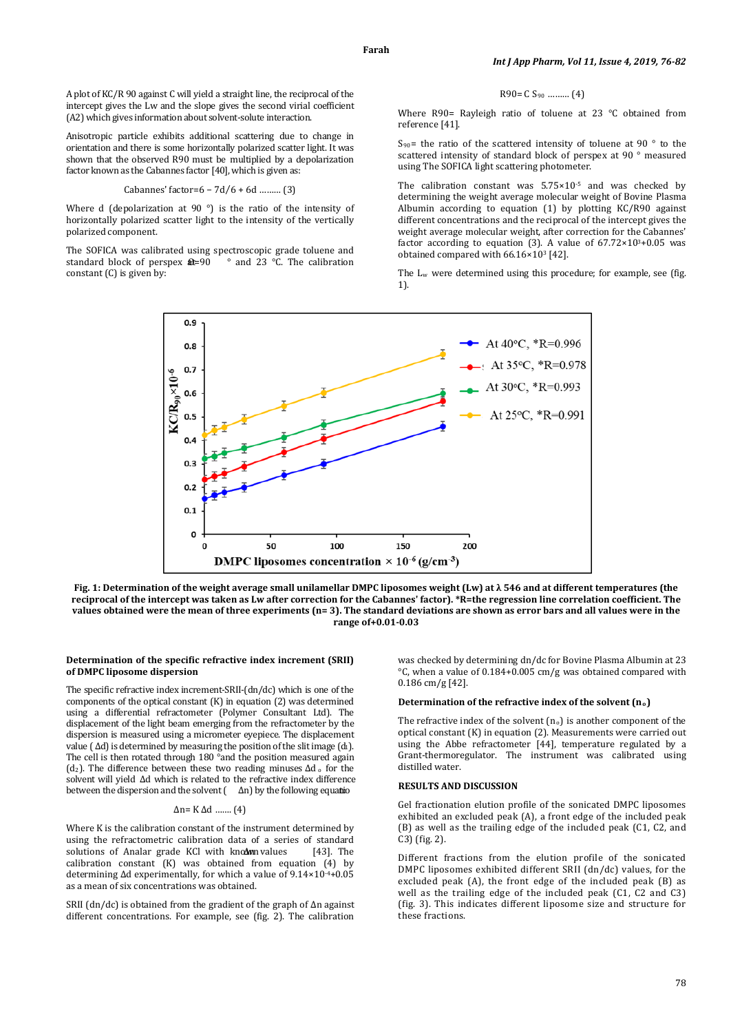A plot of KC/R 90 against C will yield a straight line, the reciprocal of the intercept gives the Lw and the slope gives the second virial coefficient (A2) which gives information about solvent-solute interaction.

Anisotropic particle exhibits additional scattering due to change in orientation and there is some horizontally polarized scatter light. It was shown that the observed R90 must be multiplied by a depolarization factor known as the Cabannes factor [40], which is given as:

Cabannes' factor=6 - 
$$
7d/6 + 6d
$$
 ......... (3)

Where d (depolarization at 90 °) is the ratio of the intensity of horizontally polarized scatter light to the intensity of the vertically polarized component.

The SOFICA was calibrated using spectroscopic grade toluene and standard block of perspex  $\hat{\mathbf{a}} = 90$  ° and 23 °C. The calibration standard block of perspex  $\theta = 90$ constant (C) is given by:

$$
R90 = C S_{90} \, \, \dots \, \dots \, (4)
$$

Where R90= Rayleigh ratio of toluene at 23 °C obtained from reference [41].

S90 = the ratio of the scattered intensity of toluene at 90 ° to the scattered intensity of standard block of perspex at 90 ° measured using The SOFICA light scattering photometer.

The calibration constant was 5.75×10 -5 and was checked by determining the weight average molecular weight of Bovine Plasma Albumin according to equation (1) by plotting KC/R90 against different concentrations and the reciprocal of the intercept gives the weight average molecular weight, after correction for the Cabannes' factor according to equation (3). A value of  $67.72 \times 10^{3} + 0.05$  was obtained compared with 66.16×103 [42].

The L <sup>w</sup> were determined using this procedure; for example, see (fig. 1).



**Fig. 1: Determination of the weight average small unilamellar DMPC liposomes weight (Lw) at λ 546 and at different temperatures (the reciprocal of the intercept was taken as Lw after correction for the Cabannes' factor). \*R=the regression line correlation coefficient. The values obtained were the mean of three experiments (n= 3). The standard deviations are shown as error bars and all values were in the range of+0.01-0.03**

### **Determination of the specific refractive index increment (SRII) of DMPC liposome dispersion**

The specific refractive index increment-SRII-(dn/dc) which is one of the components of the optical constant (K) in equation (2) was determined using a differential refractometer (Polymer Consultant Ltd). The displacement of the light beam emerging from the refractometer by the dispersion is measured using a micrometer eyepiece. The displacement value ( $\Delta d$ ) is determined by measuring the position of the slit image ( $d_1$ ). The cell is then rotated through 180 °and the position measured again (d2). The difference between these two reading minuses ∆d <sup>o</sup> for the solvent will yield ∆d which is related to the refractive index difference between the dispersion and the solvent  $($   $\Delta n)$  by the following equation

### ∆n= K ∆d ……. (4)

Where K is the calibration constant of the instrument determined by using the refractometric calibration data of a series of standard<br>solutions of Analar grade KCl with known values [431. The solutions of Analar grade KCl with known values calibration constant (K) was obtained from equation (4) by determining ∆d experimentally, for which a value of 9.14×10-4 +0.05 as a mean of six concentrations was obtained.

SRII (dn/dc) is obtained from the gradient of the graph of ∆n against different concentrations. For example, see (fig. 2). The calibration

was checked by determining dn/dc for Bovine Plasma Albumin at 23 °C, when a value of 0.184+0.005 cm/g was obtained compared with 0.186 cm/g [42].

#### **Determination of the refractive index of the solvent (n o)**

The refractive index of the solvent  $(n_0)$  is another component of the optical constant (K) in equation (2). Measurements were carried out using the Abbe refractometer [44], temperature regulated by a Grant-thermoregulator. The instrument was calibrated using distilled water.

### **RESULTS AND DISCUSSION**

Gel fractionation elution profile of the sonicated DMPC liposomes exhibited an excluded peak (A), a front edge of the included peak (B) as well as the trailing edge of the included peak (C1, C2, and C3) (fig. 2).

Different fractions from the elution profile of the sonicated DMPC liposomes exhibited different SRII (dn/dc) values, for the excluded peak (A), the front edge of the included peak (B) as well as the trailing edge of the included peak (C1, C2 and C3) (fig. 3). This indicates different liposome size and structure for these fractions.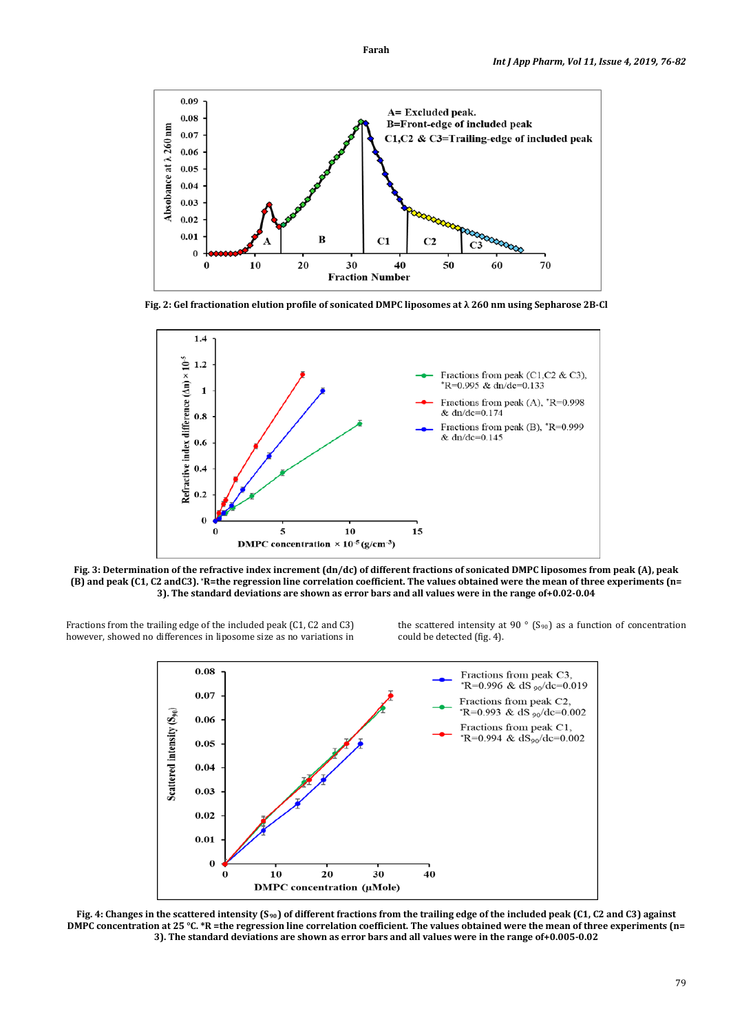

**Fig. 2: Gel fractionation elution profile of sonicated DMPC liposomes at λ 260 nm using Sepharose 2B-Cl**



**Fig. 3: Determination of the refractive index increment (dn/dc) of different fractions of sonicated DMPC liposomes from peak (A), peak (B) and peak (C1, C2 andC3). \*R=the regression line correlation coefficient. The values obtained were the mean of three experiments (n= 3). The standard deviations are shown as error bars and all values were in the range of+0.02-0.04**

Fractions from the trailing edge of the included peak (C1, C2 and C3) however, showed no differences in liposome size as no variations in the scattered intensity at 90 $\degree$  (S<sub>90</sub>) as a function of concentration could be detected (fig. 4).



Fig. 4: Changes in the scattered intensity (S<sub>90</sub>) of different fractions from the trailing edge of the included peak (C1, C2 and C3) against **DMPC concentration at 25 °C. \*R =the regression line correlation coefficient. The values obtained were the mean of three experiments (n= 3). The standard deviations are shown as error bars and all values were in the range of+0.005-0.02**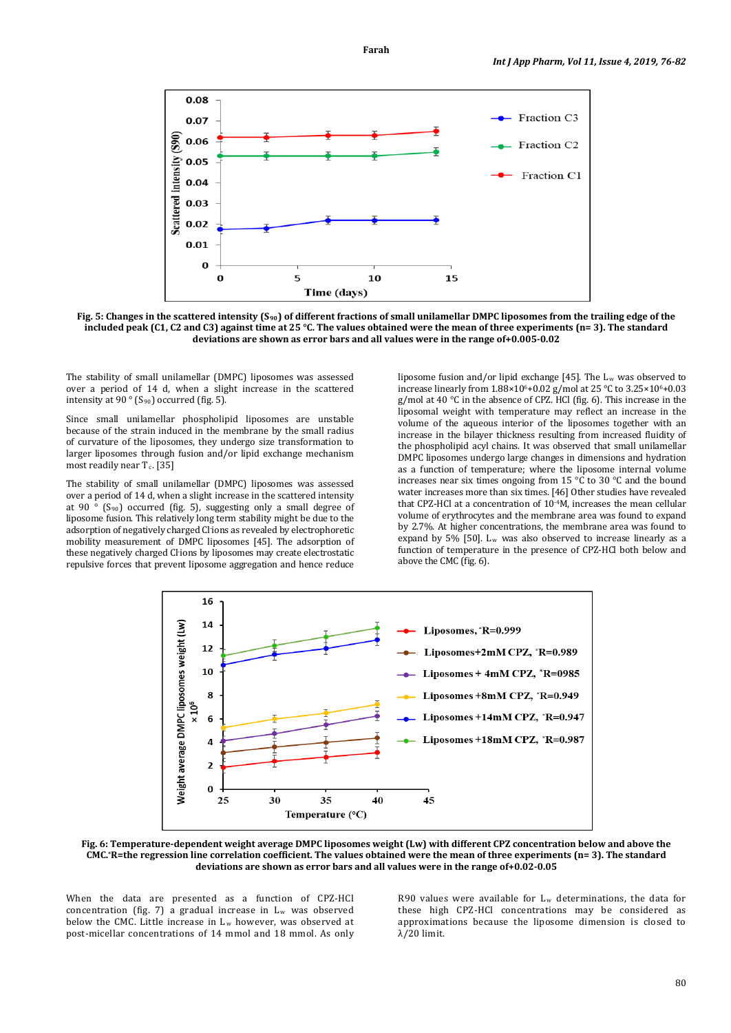

**Fig. 5: Changes in the scattered intensity (S90 ) of different fractions of small unilamellar DMPC liposomes from the trailing edge of the included peak (C1, C2 and C3) against time at 25 °C. The values obtained were the mean of three experiments (n= 3). The standard deviations are shown as error bars and all values were in the range of+0.005-0.02**

The stability of small unilamellar (DMPC) liposomes was assessed over a period of 14 d, when a slight increase in the scattered intensity at 90 ° (S 90) occurred (fig. 5).

Since small unilamellar phospholipid liposomes are unstable because of the strain induced in the membrane by the small radius of curvature of the liposomes, they undergo size transformation to larger liposomes through fusion and/or lipid exchange mechanism  $most$  readily near  $T_c$ . [35]

The stability of small unilamellar (DMPC) liposomes was assessed over a period of 14 d, when a slight increase in the scattered intensity at 90 ° (S 90) occurred (fig. 5), suggesting only a small degree of liposome fusion. This relatively long term stability might be due to the adsorption of negatively charged Cl-ions as revealed by electrophoretic mobility measurement of DMPC liposomes [45]. The adsorption of these negatively charged Cl-ions by liposomes may create electrostatic repulsive forces that prevent liposome aggregation and hence reduce

liposome fusion and/or lipid exchange [45]. The Lw was observed to increase linearly from  $1.88 \times 10^{6} + 0.02$  g/mol at 25 °C to  $3.25 \times 10^{6} + 0.03$ g/mol at 40 °C in the absence of CPZ. HCl (fig. 6). This increase in the liposomal weight with temperature may reflect an increase in the volume of the aqueous interior of the liposomes together with an increase in the bilayer thickness resulting from increased fluidity of the phospholipid acyl chains. It was observed that small unilamellar DMPC liposomes undergo large changes in dimensions and hydration as a function of temperature; where the liposome internal volume increases near six times ongoing from 15 °C to 30 °C and the bound water increases more than six times. [46] Other studies have revealed that CPZ-HCl at a concentration of  $10^{-4}$ M, increases the mean cellular volume of erythrocytes and the membrane area was found to expand by 2.7%. At higher concentrations, the membrane area was found to expand by 5% [50].  $L_w$  was also observed to increase linearly as a function of temperature in the presence of CPZ-HCl both below and above the CMC (fig. 6).



**Fig. 6: Temperature-dependent weight average DMPC liposomes weight (Lw) with different CPZ concentration below and above the CMC.\*R=the regression line correlation coefficient. The values obtained were the mean of three experiments (n= 3). The standard deviations are shown as error bars and all values were in the range of+0.02-0.05**

When the data are presented as a function of CPZ-HCl concentration (fig. 7) a gradual increase in  $L_w$  was observed below the CMC. Little increase in  $L_w$  however, was observed at post-micellar concentrations of 14 mmol and 18 mmol. As only

R90 values were available for  $L_w$  determinations, the data for these high CPZ-HCl concentrations may be considered as approximations because the liposome dimension is closed to λ/20 limit.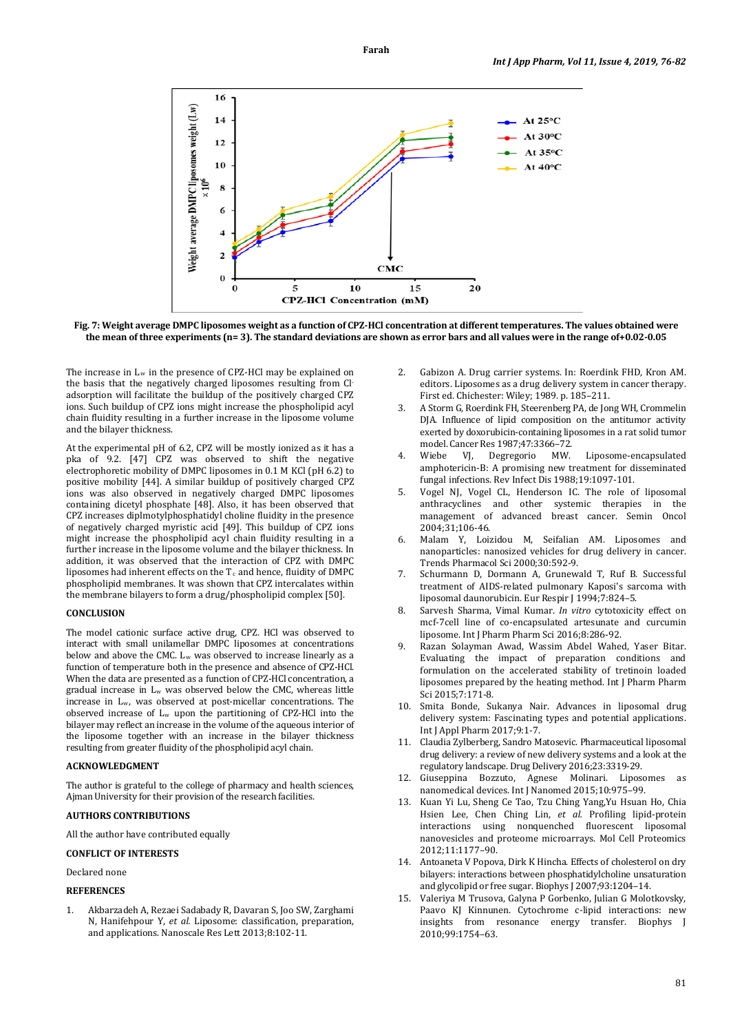

**Fig. 7: Weight average DMPC liposomes weight as a function of CPZ-HCl concentration at different temperatures. The values obtained were the mean of three experiments (n= 3). The standard deviations are shown as error bars and all values were in the range of+0.02-0.05**

The increase in  $L_w$  in the presence of CPZ-HCl may be explained on the basis that the negatively charged liposomes resulting from Cladsorption will facilitate the buildup of the positively charged CPZ ions. Such buildup of CPZ ions might increase the phospholipid acyl chain fluidity resulting in a further increase in the liposome volume and the bilayer thickness.

At the experimental pH of 6.2, CPZ will be mostly ionized as it has a pka of 9.2. [47] CPZ was observed to shift the negative electrophoretic mobility of DMPC liposomes in 0.1 M KCl (pH 6.2) to positive mobility [44]. A similar buildup of positively charged CPZ ions was also observed in negatively charged DMPC liposomes containing dicetyl phosphate [48]. Also, it has been observed that CPZ increases diplmotylphosphatidyl choline fluidity in the presence of negatively charged myristic acid [49]. This buildup of CPZ ions might increase the phospholipid acyl chain fluidity resulting in a further increase in the liposome volume and the bilayer thickness. In addition, it was observed that the interaction of CPZ with DMPC liposomes had inherent effects on the  $T_c$  and hence, fluidity of DMPC  $\,$ phospholipid membranes. It was shown that CPZ intercalates within the membrane bilayers to form a drug/phospholipid complex [50].

# **CONCLUSION**

The model cationic surface active drug, CPZ. HCl was observed to interact with small unilamellar DMPC liposomes at concentrations below and above the CMC. L<sub>w</sub> was observed to increase linearly as a function of temperature both in the presence and absence of CPZ-HCl. When the data are presented as a function of CPZ-HCl concentration, a gradual increase in Lw was observed below the CMC, whereas little increase in Lw, was observed at post-micellar concentrations. The observed increase of Lw upon the partitioning of CPZ-HCl into the bilayer may reflect an increase in the volume of the aqueous interior of the liposome together with an increase in the bilayer thickness resulting from greater fluidity of the phospholipid acyl chain.

#### **ACKNOWLEDGMENT**

The author is grateful to the college of pharmacy and health sciences, Ajman University for their provision of the research facilities.

# **AUTHORS CONTRIBUTIONS**

All the author have contributed equally

# **CONFLICT OF INTERESTS**

Declared none

# **REFERENCES**

1. Akbarzadeh A, Rezaei Sadabady R, Davaran S, Joo SW, Zarghami N, Hanifehpour Y, *et al.* Liposome: classification, preparation, and applications. Nanoscale Res Lett 2013;8:102-11.

- 2. Gabizon A. Drug carrier systems. In: Roerdink FHD, Kron AM. editors. Liposomes as a drug delivery system in cancer therapy. First ed. Chichester: Wiley; 1989. p. 185–211.
- 3. A Storm G, Roerdink FH, Steerenberg PA, de Jong WH, Crommelin DJA. Influence of lipid composition on the antitumor activity exerted by doxorubicin-containing liposomes in a rat solid tumor model. Cancer Res 1987;47:3366–72.<br>Wiebe VI, Degregorio MW.
- 4. Wiebe VJ, Degregorio MW. Liposome-encapsulated amphotericin-B: A promising new treatment for disseminated fungal infections. Rev Infect Dis 1988;19:1097-101.
- 5. Vogel NJ, Vogel CL, Henderson IC. The role of liposomal anthracyclines and other systemic therapies in the management of advanced breast cancer. Semin Oncol 2004;31;106-46.
- 6. Malam Y, Loizidou M, Seifalian AM. Liposomes and nanoparticles: nanosized vehicles for drug delivery in cancer. Trends Pharmacol Sci 2000;30:592-9.
- 7. Schurmann D, Dormann A, Grunewald T, Ruf B. Successful treatment of AIDS-related pulmonary Kaposi's sarcoma with liposomal daunorubicin. Eur Respir J 1994;7:824–5.
- 8. Sarvesh Sharma, Vimal Kumar. *In vitro* cytotoxicity effect on mcf-7cell line of co-encapsulated artesunate and curcumin liposome. Int J Pharm Pharm Sci 2016;8:286-92.
- 9. Razan Solayman Awad, Wassim Abdel Wahed, Yaser Bitar. Evaluating the impact of preparation conditions and formulation on the accelerated stability of tretinoin loaded liposomes prepared by the heating method. Int J Pharm Pharm Sci 2015;7:171-8.
- 10. Smita Bonde, Sukanya Nair. Advances in liposomal drug delivery system: Fascinating types and potential applications. Int J Appl Pharm 2017;9:1-7.
- 11. Claudia Zylberberg, Sandro Matosevic. Pharmaceutical liposomal drug delivery: a review of new delivery systems and a look at the regulatory landscape. Drug Delivery 2016;23:3319-29.
- 12. Giuseppina Bozzuto, Agnese Molinari. Liposomes as nanomedical devices. Int J Nanomed 2015;10:975–99.
- 13. Kuan Yi Lu, Sheng Ce Tao, Tzu Ching Yang,Yu Hsuan Ho, Chia Hsien Lee, Chen Ching Lin, *et al.* Profiling lipid-protein interactions using nonquenched fluorescent liposomal nanovesicles and proteome microarrays. Mol Cell Proteomics 2012;11:1177–90.
- 14. Antoaneta V Popova, Dirk K Hincha. Effects of cholesterol on dry bilayers: interactions between phosphatidylcholine unsaturation and glycolipid or free sugar. Biophys J 2007;93:1204–14.
- 15. Valeriya M Trusova, Galyna P Gorbenko, Julian G Molotkovsky, Paavo KJ Kinnunen. Cytochrome c-lipid interactions: new insights from resonance energy transfer. Biophys J 2010;99:1754–63.